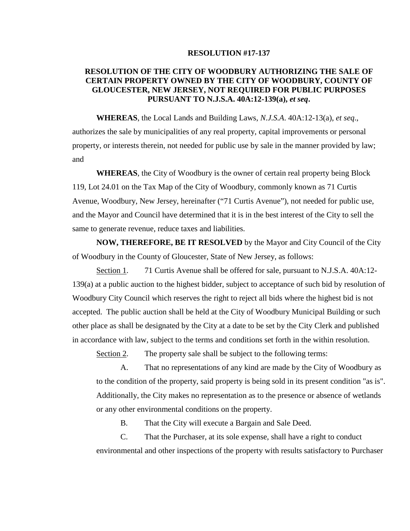## **RESOLUTION #17-137**

## **RESOLUTION OF THE CITY OF WOODBURY AUTHORIZING THE SALE OF CERTAIN PROPERTY OWNED BY THE CITY OF WOODBURY, COUNTY OF GLOUCESTER, NEW JERSEY, NOT REQUIRED FOR PUBLIC PURPOSES PURSUANT TO N.J.S.A. 40A:12-139(a),** *et seq***.**

**WHEREAS**, the Local Lands and Building Laws, *N.J.S.A*. 40A:12-13(a), *et seq*., authorizes the sale by municipalities of any real property, capital improvements or personal property, or interests therein, not needed for public use by sale in the manner provided by law; and

**WHEREAS**, the City of Woodbury is the owner of certain real property being Block 119, Lot 24.01 on the Tax Map of the City of Woodbury, commonly known as 71 Curtis Avenue, Woodbury, New Jersey, hereinafter ("71 Curtis Avenue"), not needed for public use, and the Mayor and Council have determined that it is in the best interest of the City to sell the same to generate revenue, reduce taxes and liabilities.

**NOW, THEREFORE, BE IT RESOLVED** by the Mayor and City Council of the City of Woodbury in the County of Gloucester, State of New Jersey, as follows:

Section 1. 71 Curtis Avenue shall be offered for sale, pursuant to N.J.S.A. 40A:12- 139(a) at a public auction to the highest bidder, subject to acceptance of such bid by resolution of Woodbury City Council which reserves the right to reject all bids where the highest bid is not accepted. The public auction shall be held at the City of Woodbury Municipal Building or such other place as shall be designated by the City at a date to be set by the City Clerk and published in accordance with law, subject to the terms and conditions set forth in the within resolution.

Section 2. The property sale shall be subject to the following terms:

A. That no representations of any kind are made by the City of Woodbury as to the condition of the property, said property is being sold in its present condition "as is". Additionally, the City makes no representation as to the presence or absence of wetlands or any other environmental conditions on the property.

B. That the City will execute a Bargain and Sale Deed.

C. That the Purchaser, at its sole expense, shall have a right to conduct environmental and other inspections of the property with results satisfactory to Purchaser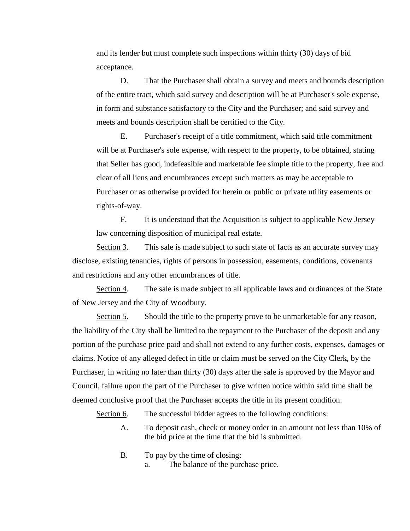and its lender but must complete such inspections within thirty (30) days of bid acceptance.

D. That the Purchaser shall obtain a survey and meets and bounds description of the entire tract, which said survey and description will be at Purchaser's sole expense, in form and substance satisfactory to the City and the Purchaser; and said survey and meets and bounds description shall be certified to the City.

E. Purchaser's receipt of a title commitment, which said title commitment will be at Purchaser's sole expense, with respect to the property, to be obtained, stating that Seller has good, indefeasible and marketable fee simple title to the property, free and clear of all liens and encumbrances except such matters as may be acceptable to Purchaser or as otherwise provided for herein or public or private utility easements or rights-of-way.

F. It is understood that the Acquisition is subject to applicable New Jersey law concerning disposition of municipal real estate.

Section 3. This sale is made subject to such state of facts as an accurate survey may disclose, existing tenancies, rights of persons in possession, easements, conditions, covenants and restrictions and any other encumbrances of title.

Section 4. The sale is made subject to all applicable laws and ordinances of the State of New Jersey and the City of Woodbury.

Section 5. Should the title to the property prove to be unmarketable for any reason, the liability of the City shall be limited to the repayment to the Purchaser of the deposit and any portion of the purchase price paid and shall not extend to any further costs, expenses, damages or claims. Notice of any alleged defect in title or claim must be served on the City Clerk, by the Purchaser, in writing no later than thirty (30) days after the sale is approved by the Mayor and Council, failure upon the part of the Purchaser to give written notice within said time shall be deemed conclusive proof that the Purchaser accepts the title in its present condition.

Section 6. The successful bidder agrees to the following conditions:

- A. To deposit cash, check or money order in an amount not less than 10% of the bid price at the time that the bid is submitted.
- B. To pay by the time of closing: a. The balance of the purchase price.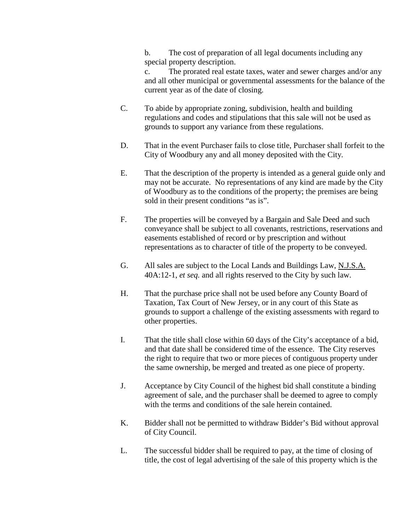b. The cost of preparation of all legal documents including any special property description.

c. The prorated real estate taxes, water and sewer charges and/or any and all other municipal or governmental assessments for the balance of the current year as of the date of closing.

- C. To abide by appropriate zoning, subdivision, health and building regulations and codes and stipulations that this sale will not be used as grounds to support any variance from these regulations.
- D. That in the event Purchaser fails to close title, Purchaser shall forfeit to the City of Woodbury any and all money deposited with the City.
- E. That the description of the property is intended as a general guide only and may not be accurate. No representations of any kind are made by the City of Woodbury as to the conditions of the property; the premises are being sold in their present conditions "as is".
- F. The properties will be conveyed by a Bargain and Sale Deed and such conveyance shall be subject to all covenants, restrictions, reservations and easements established of record or by prescription and without representations as to character of title of the property to be conveyed.
- G. All sales are subject to the Local Lands and Buildings Law, N.J.S.A. 40A:12-1, *et seq.* and all rights reserved to the City by such law.
- H. That the purchase price shall not be used before any County Board of Taxation, Tax Court of New Jersey, or in any court of this State as grounds to support a challenge of the existing assessments with regard to other properties.
- I. That the title shall close within 60 days of the City's acceptance of a bid, and that date shall be considered time of the essence. The City reserves the right to require that two or more pieces of contiguous property under the same ownership, be merged and treated as one piece of property.
- J. Acceptance by City Council of the highest bid shall constitute a binding agreement of sale, and the purchaser shall be deemed to agree to comply with the terms and conditions of the sale herein contained.
- K. Bidder shall not be permitted to withdraw Bidder's Bid without approval of City Council.
- L. The successful bidder shall be required to pay, at the time of closing of title, the cost of legal advertising of the sale of this property which is the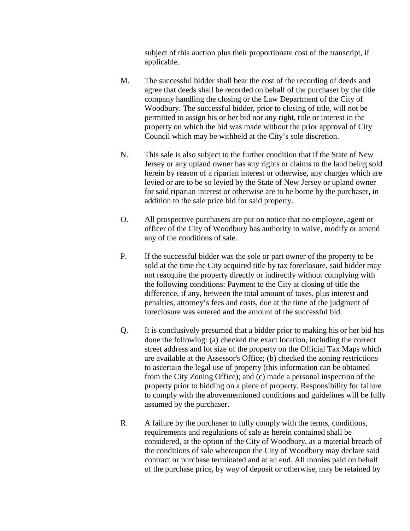subject of this auction plus their proportionate cost of the transcript, if applicable.

- M. The successful bidder shall bear the cost of the recording of deeds and agree that deeds shall be recorded on behalf of the purchaser by the title company handling the closing or the Law Department of the City of Woodbury. The successful bidder, prior to closing of title, will not be permitted to assign his or her bid nor any right, title or interest in the property on which the bid was made without the prior approval of City Council which may be withheld at the City's sole discretion.
- N. This sale is also subject to the further condition that if the State of New Jersey or any upland owner has any rights or claims to the land being sold herein by reason of a riparian interest or otherwise, any charges which are levied or are to be so levied by the State of New Jersey or upland owner for said riparian interest or otherwise are to be borne by the purchaser, in addition to the sale price bid for said property.
- O. All prospective purchasers are put on notice that no employee, agent or officer of the City of Woodbury has authority to waive, modify or amend any of the conditions of sale.
- P. If the successful bidder was the sole or part owner of the property to be sold at the time the City acquired title by tax foreclosure, said bidder may not reacquire the property directly or indirectly without complying with the following conditions: Payment to the City at closing of title the difference, if any, between the total amount of taxes, plus interest and penalties, attorney's fees and costs, due at the time of the judgment of foreclosure was entered and the amount of the successful bid.
- Q. It is conclusively presumed that a bidder prior to making his or her bid has done the following: (a) checked the exact location, including the correct street address and lot size of the property on the Official Tax Maps which are available at the Assessor's Office; (b) checked the zoning restrictions to ascertain the legal use of property (this information can be obtained from the City Zoning Office); and (c) made a personal inspection of the property prior to bidding on a piece of property. Responsibility for failure to comply with the abovementioned conditions and guidelines will be fully assumed by the purchaser.
- R. A failure by the purchaser to fully comply with the terms, conditions, requirements and regulations of sale as herein contained shall be considered, at the option of the City of Woodbury, as a material breach of the conditions of sale whereupon the City of Woodbury may declare said contract or purchase terminated and at an end. All monies paid on behalf of the purchase price, by way of deposit or otherwise, may be retained by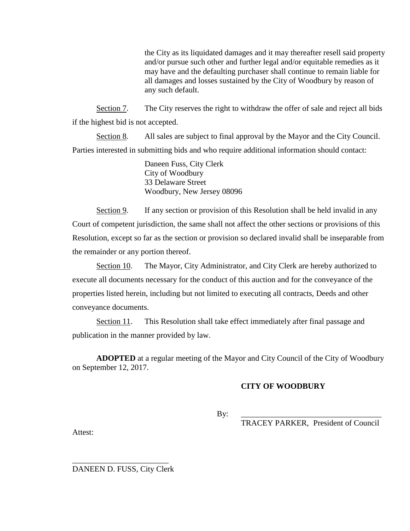the City as its liquidated damages and it may thereafter resell said property and/or pursue such other and further legal and/or equitable remedies as it may have and the defaulting purchaser shall continue to remain liable for all damages and losses sustained by the City of Woodbury by reason of any such default.

Section 7. The City reserves the right to withdraw the offer of sale and reject all bids if the highest bid is not accepted.

Section 8. All sales are subject to final approval by the Mayor and the City Council. Parties interested in submitting bids and who require additional information should contact:

> Daneen Fuss, City Clerk City of Woodbury 33 Delaware Street Woodbury, New Jersey 08096

Section 9. If any section or provision of this Resolution shall be held invalid in any Court of competent jurisdiction, the same shall not affect the other sections or provisions of this Resolution, except so far as the section or provision so declared invalid shall be inseparable from the remainder or any portion thereof.

Section 10. The Mayor, City Administrator, and City Clerk are hereby authorized to execute all documents necessary for the conduct of this auction and for the conveyance of the properties listed herein, including but not limited to executing all contracts, Deeds and other conveyance documents.

Section 11. This Resolution shall take effect immediately after final passage and publication in the manner provided by law.

**ADOPTED** at a regular meeting of the Mayor and City Council of the City of Woodbury on September 12, 2017.

## **CITY OF WOODBURY**

By: \_\_\_\_\_\_\_\_\_\_\_\_\_\_\_\_\_\_\_\_\_\_\_\_\_\_\_\_\_\_\_\_\_\_\_

TRACEY PARKER, President of Council

Attest:

\_\_\_\_\_\_\_\_\_\_\_\_\_\_\_\_\_\_\_\_\_\_\_\_ DANEEN D. FUSS, City Clerk